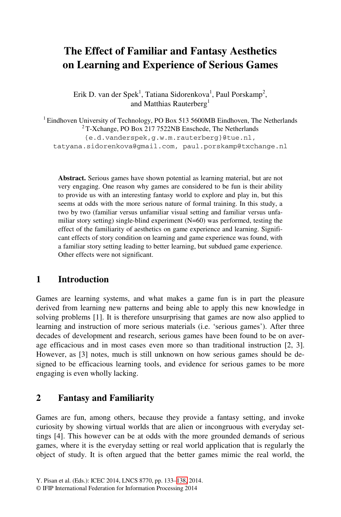# **The Effect of Familiar and Fantasy Aesthetics on Learning and Experience of Serious Games**

Erik D. van der Spek<sup>1</sup>, Tatiana Sidorenkova<sup>1</sup>, Paul Porskamp<sup>2</sup>, and Matthias Rauterberg<sup>1</sup>

<sup>1</sup> Eindhoven University of Technology, PO Box 513 5600MB Eindhoven, The Netherlands <sup>2</sup> T-Xchange, PO Box 217 7522NB Enschede, The Netherlands {e.d.vanderspek,g.w.m.rauterberg}@tue.nl, tatyana.sidorenkova@gmail.com, paul.porskamp@txchange.nl

**Abstract.** Serious games have shown potential as learning material, but are not very engaging. One reason why games are considered to be fun is their ability to provide us with an interesting fantasy world to explore and play in, but this seems at odds with the more serious nature of formal training. In this study, a two by two (familiar versus unfamiliar visual setting and familiar versus unfamiliar story setting) single-blind experiment (N=60) was performed, testing the effect of the familiarity of aesthetics on game experience and learning. Significant effects of story condition on learning and game experience was found, with a familiar story setting leading to better learning, but subdued game experience. Other effects were not significant.

#### **1 Introduction**

Games are learning systems, and what makes a game fun is in part the pleasure derived from learning new patterns and being able to apply this new knowledge in solving problems [1]. It is therefore unsurprising that games are now also applied to learning and instruction of more serious materials (i.e. 'serious games'). After three decades of development and research, serious games have been found to be on average efficacious and in most cases even more so than traditional instruction [2, 3]. However, as [3] notes, much is still unknown on how serious games should be designed to be efficacious learning tools, and evidence for serious games to be more engaging is even wholly lacking.

### **2 Fantasy and Familiarity**

Games are fun, among others, because they provide a fantasy setting, and invoke curiosity by showing virtual worlds that are alien or incongruous with everyday settings [4]. This however can be at odds with the more grounded demands of serious games, where it is the everyday setting or real world application that is regularly the object of study. It is often argued that the better games mimic the real world, the

Y. Pisan et al. (Eds.): ICEC 2014, LNCS 8770, pp. 133–138, 2014.

<sup>©</sup> IFIP International Federation for Information Processing 2014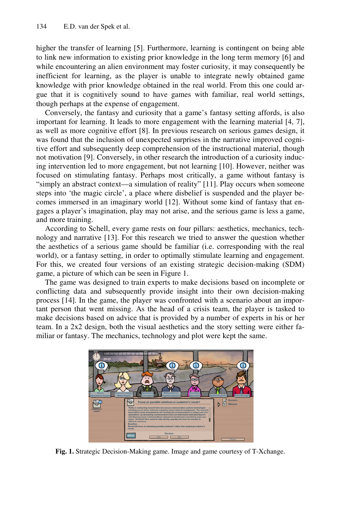higher the transfer of learning [5]. Furthermore, learning is contingent on being able to link new information to existing prior knowledge in the long term memory [6] and while encountering an alien environment may foster curiosity, it may consequently be inefficient for learning, as the player is unable to integrate newly obtained game knowledge with prior knowledge obtained in the real world. From this one could argue that it is cognitively sound to have games with familiar, real world settings, though perhaps at the expense of engagement.

Conversely, the fantasy and curiosity that a game's fantasy setting affords, is also important for learning. It leads to more engagement with the learning material [4, 7], as well as more cognitive effort [8]. In previous research on serious games design, it was found that the inclusion of unexpected surprises in the narrative improved cognitive effort and subsequently deep comprehension of the instructional material, though not motivation [9]. Conversely, in other research the introduction of a curiosity inducing intervention led to more engagement, but not learning [10]. However, neither was focused on stimulating fantasy. Perhaps most critically, a game without fantasy is "simply an abstract context—a simulation of reality" [11]. Play occurs when someone steps into 'the magic circle', a place where disbelief is suspended and the player becomes immersed in an imaginary world [12]. Without some kind of fantasy that engages a player's imagination, play may not arise, and the serious game is less a game, and more training.

According to Schell, every game rests on four pillars: aesthetics, mechanics, technology and narrative [13]. For this research we tried to answer the question whether the aesthetics of a serious game should be familiar (i.e. corresponding with the real world), or a fantasy setting, in order to optimally stimulate learning and engagement. For this, we created four versions of an existing strategic decision-making (SDM) game, a picture of which can be seen in Figure 1.

The game was designed to train experts to make decisions based on incomplete or conflicting data and subsequently provide insight into their own decision-making process [14]. In the game, the player was confronted with a scenario about an important person that went missing. As the head of a crisis team, the player is tasked to make decisions based on advice that is provided by a number of experts in his or her team. In a 2x2 design, both the visual aesthetics and the story setting were either familiar or fantasy. The mechanics, technology and plot were kept the same.



**Fig. 1.** Strategic Decision-Making game. Image and game courtesy of T-Xchange.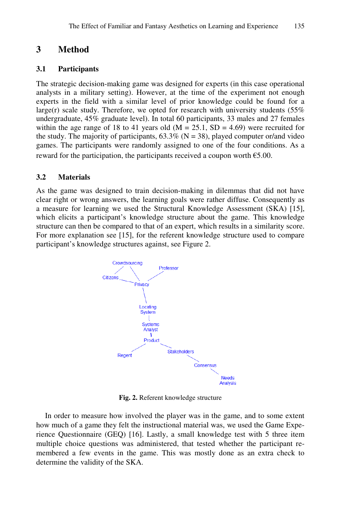### **3 Method**

### **3.1 Participants**

The strategic decision-making game was designed for experts (in this case operational analysts in a military setting). However, at the time of the experiment not enough experts in the field with a similar level of prior knowledge could be found for a large(r) scale study. Therefore, we opted for research with university students  $(55\%$ undergraduate, 45% graduate level). In total 60 participants, 33 males and 27 females within the age range of 18 to 41 years old  $(M = 25.1, SD = 4.69)$  were recruited for the study. The majority of participants,  $63.3\%$  (N = 38), played computer or/and video games. The participants were randomly assigned to one of the four conditions. As a reward for the participation, the participants received a coupon worth  $\epsilon$ 5.00.

### **3.2 Materials**

As the game was designed to train decision-making in dilemmas that did not have clear right or wrong answers, the learning goals were rather diffuse. Consequently as a measure for learning we used the Structural Knowledge Assessment (SKA) [15], which elicits a participant's knowledge structure about the game. This knowledge structure can then be compared to that of an expert, which results in a similarity score. For more explanation see [15], for the referent knowledge structure used to compare participant's knowledge structures against, see Figure 2.



**Fig. 2.** Referent knowledge structure

In order to measure how involved the player was in the game, and to some extent how much of a game they felt the instructional material was, we used the Game Experience Questionnaire (GEQ) [16]. Lastly, a small knowledge test with 5 three item multiple choice questions was administered, that tested whether the participant remembered a few events in the game. This was mostly done as an extra check to determine the validity of the SKA.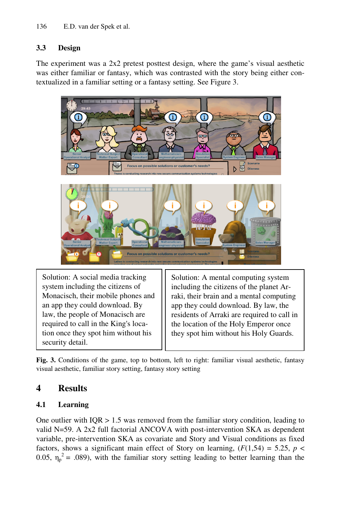### **3.3 Design**

The experiment was a 2x2 pretest posttest design, where the game's visual aesthetic was either familiar or fantasy, which was contrasted with the story being either contextualized in a familiar setting or a fantasy setting. See Figure 3.



Solution: A social media tracking system including the citizens of Monacisch, their mobile phones and an app they could download. By law, the people of Monacisch are required to call in the King's location once they spot him without his security detail.

Solution: A mental computing system including the citizens of the planet Arraki, their brain and a mental computing app they could download. By law, the residents of Arraki are required to call in the location of the Holy Emperor once they spot him without his Holy Guards.

**Fig. 3.** Conditions of the game, top to bottom, left to right: familiar visual aesthetic, fantasy visual aesthetic, familiar story setting, fantasy story setting

## **4 Results**

### **4.1 Learning**

One outlier with  $IQR > 1.5$  was removed from the familiar story condition, leading to valid N=59. A 2x2 full factorial ANCOVA with post-intervention SKA as dependent variable, pre-intervention SKA as covariate and Story and Visual conditions as fixed factors, shows a significant main effect of Story on learning,  $(F(1,54) = 5.25, p <$ 0.05,  $\eta_p^2$  = .089), with the familiar story setting leading to better learning than the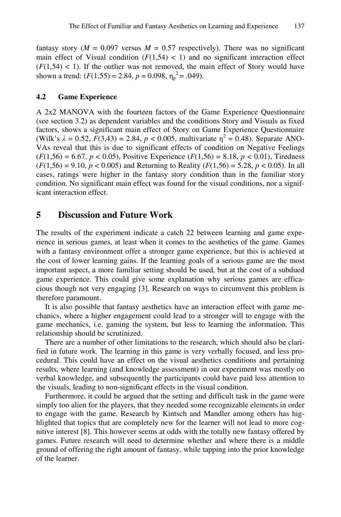fantasy story ( $M = 0.097$  versus  $M = 0.57$  respectively). There was no significant main effect of Visual condition  $(F(1,54) < 1)$  and no significant interaction effect  $(F(1,54) < 1)$ . If the outlier was not removed, the main effect of Story would have shown a trend:  $(F(1,55) = 2.84, p = 0.098, \eta_p^2 = .049)$ .

#### **4.2 Game Experience**

A 2x2 MANOVA with the fourteen factors of the Game Experience Questionnaire (see section 3.2) as dependent variables and the conditions Story and Visuals as fixed factors, shows a significant main effect of Story on Game Experience Questionnaire (Wilk's  $\lambda = 0.52$ ,  $F(3,43) = 2.84$ ,  $p < 0.005$ , multivariate  $\eta^2 = 0.48$ ). Separate ANO-VAs reveal that this is due to significant effects of condition on Negative Feelings  $(F(1,56) = 6.67, p < 0.05)$ , Positive Experience  $(F(1,56) = 8.18, p < 0.01)$ , Tiredness  $(F(1,56) = 9.10, p < 0.005)$  and Returning to Reality  $(F(1,56) = 5.28, p < 0.05)$ . In all cases, ratings were higher in the fantasy story condition than in the familiar story condition. No significant main effect was found for the visual conditions, nor a significant interaction effect.

### **5 Discussion and Future Work**

The results of the experiment indicate a catch 22 between learning and game experience in serious games, at least when it comes to the aesthetics of the game. Games with a fantasy environment offer a stronger game experience, but this is achieved at the cost of lower learning gains. If the learning goals of a serious game are the most important aspect, a more familiar setting should be used, but at the cost of a subdued game experience. This could give some explanation why serious games are efficacious though not very engaging [3]. Research on ways to circumvent this problem is therefore paramount.

It is also possible that fantasy aesthetics have an interaction effect with game mechanics, where a higher engagement could lead to a stronger will to engage with the game mechanics, i.e. gaming the system, but less to learning the information. This relationship should be scrutinized.

There are a number of other limitations to the research, which should also be clarified in future work. The learning in this game is very verbally focused, and less procedural. This could have an effect on the visual aesthetics conditions and pertaining results, where learning (and knowledge assessment) in our experiment was mostly on verbal knowledge, and subsequently the participants could have paid less attention to the visuals, leading to non-significant effects in the visual condition.

Furthermore, it could be argued that the setting and difficult task in the game were simply too alien for the players, that they needed some recognizable elements in order to engage with the game. Research by Kintsch and Mandler among others has highlighted that topics that are completely new for the learner will not lead to more cognitive interest [8]. This however seems at odds with the totally new fantasy offered by games. Future research will need to determine whether and where there is a middle ground of offering the right amount of fantasy, while tapping into the prior knowledge of the learner.